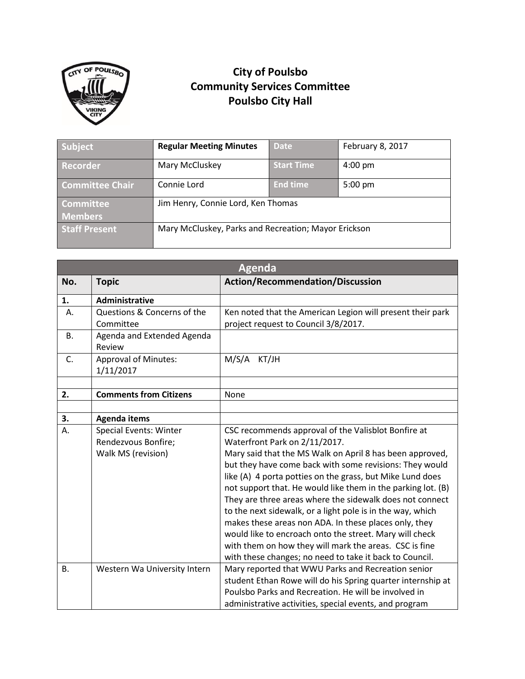

## **City of Poulsbo Community Services Committee Poulsbo City Hall**

| Subject                | <b>Regular Meeting Minutes</b>                       | <b>Date</b>       | February 8, 2017  |
|------------------------|------------------------------------------------------|-------------------|-------------------|
| <b>Recorder</b>        | Mary McCluskey                                       | <b>Start Time</b> | $4:00$ pm         |
| <b>Committee Chair</b> | Connie Lord                                          | <b>End time</b>   | $5:00 \text{ pm}$ |
| <b>Committee</b>       | Jim Henry, Connie Lord, Ken Thomas                   |                   |                   |
| <b>Members</b>         |                                                      |                   |                   |
| <b>Staff Present</b>   | Mary McCluskey, Parks and Recreation; Mayor Erickson |                   |                   |

| <b>Agenda</b> |                                                                            |                                                                                                                                                                                                                                                                                                                                                                                                                                                                                                                                                                                                                                                                                                             |  |
|---------------|----------------------------------------------------------------------------|-------------------------------------------------------------------------------------------------------------------------------------------------------------------------------------------------------------------------------------------------------------------------------------------------------------------------------------------------------------------------------------------------------------------------------------------------------------------------------------------------------------------------------------------------------------------------------------------------------------------------------------------------------------------------------------------------------------|--|
| No.           | <b>Topic</b>                                                               | <b>Action/Recommendation/Discussion</b>                                                                                                                                                                                                                                                                                                                                                                                                                                                                                                                                                                                                                                                                     |  |
| 1.            | <b>Administrative</b>                                                      |                                                                                                                                                                                                                                                                                                                                                                                                                                                                                                                                                                                                                                                                                                             |  |
| А.            | Questions & Concerns of the<br>Committee                                   | Ken noted that the American Legion will present their park<br>project request to Council 3/8/2017.                                                                                                                                                                                                                                                                                                                                                                                                                                                                                                                                                                                                          |  |
| В.            | Agenda and Extended Agenda<br>Review                                       |                                                                                                                                                                                                                                                                                                                                                                                                                                                                                                                                                                                                                                                                                                             |  |
| C.            | <b>Approval of Minutes:</b><br>1/11/2017                                   | M/S/A<br>KT/JH                                                                                                                                                                                                                                                                                                                                                                                                                                                                                                                                                                                                                                                                                              |  |
|               |                                                                            |                                                                                                                                                                                                                                                                                                                                                                                                                                                                                                                                                                                                                                                                                                             |  |
| 2.            | <b>Comments from Citizens</b>                                              | None                                                                                                                                                                                                                                                                                                                                                                                                                                                                                                                                                                                                                                                                                                        |  |
| 3.            | <b>Agenda items</b>                                                        |                                                                                                                                                                                                                                                                                                                                                                                                                                                                                                                                                                                                                                                                                                             |  |
| Α.            | <b>Special Events: Winter</b><br>Rendezvous Bonfire;<br>Walk MS (revision) | CSC recommends approval of the Valisblot Bonfire at<br>Waterfront Park on 2/11/2017.<br>Mary said that the MS Walk on April 8 has been approved,<br>but they have come back with some revisions: They would<br>like (A) 4 porta potties on the grass, but Mike Lund does<br>not support that. He would like them in the parking lot. (B)<br>They are three areas where the sidewalk does not connect<br>to the next sidewalk, or a light pole is in the way, which<br>makes these areas non ADA. In these places only, they<br>would like to encroach onto the street. Mary will check<br>with them on how they will mark the areas. CSC is fine<br>with these changes; no need to take it back to Council. |  |
| <b>B.</b>     | Western Wa University Intern                                               | Mary reported that WWU Parks and Recreation senior<br>student Ethan Rowe will do his Spring quarter internship at<br>Poulsbo Parks and Recreation. He will be involved in<br>administrative activities, special events, and program                                                                                                                                                                                                                                                                                                                                                                                                                                                                         |  |